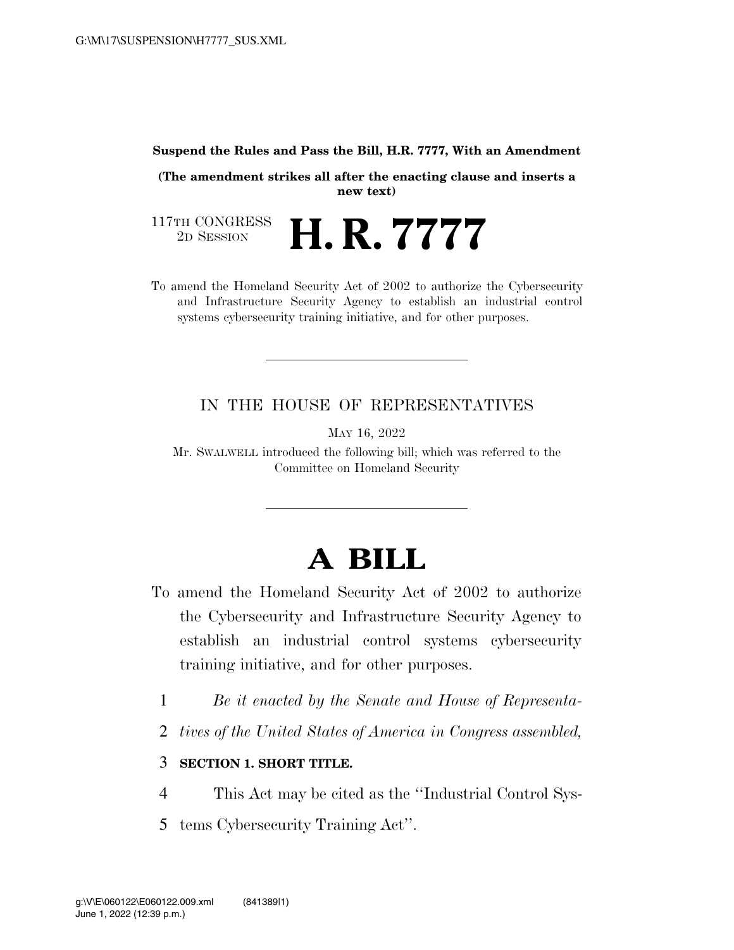## **Suspend the Rules and Pass the Bill, H.R. 7777, With an Amendment**

**(The amendment strikes all after the enacting clause and inserts a new text)** 

117TH CONGRESS<br>2D SESSION 2D SESSION **H. R. 7777** 

To amend the Homeland Security Act of 2002 to authorize the Cybersecurity and Infrastructure Security Agency to establish an industrial control systems cybersecurity training initiative, and for other purposes.

## IN THE HOUSE OF REPRESENTATIVES

MAY 16, 2022

Mr. SWALWELL introduced the following bill; which was referred to the Committee on Homeland Security

## **A BILL**

- To amend the Homeland Security Act of 2002 to authorize the Cybersecurity and Infrastructure Security Agency to establish an industrial control systems cybersecurity training initiative, and for other purposes.
	- 1 *Be it enacted by the Senate and House of Representa-*
	- 2 *tives of the United States of America in Congress assembled,*

## 3 **SECTION 1. SHORT TITLE.**

- 4 This Act may be cited as the ''Industrial Control Sys-
- 5 tems Cybersecurity Training Act''.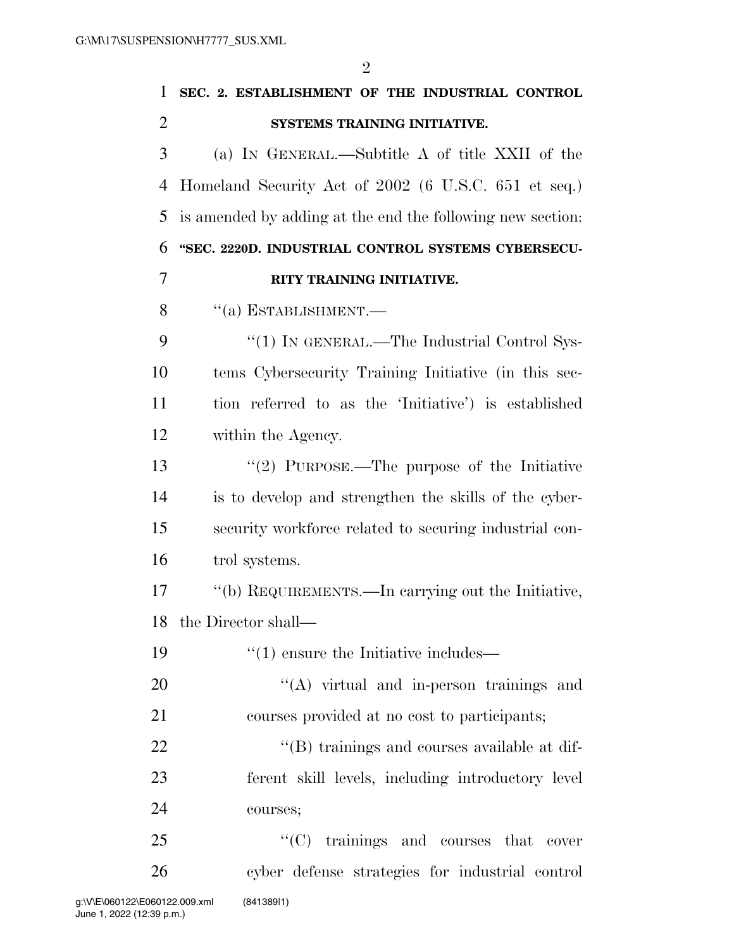| 1              | SEC. 2. ESTABLISHMENT OF THE INDUSTRIAL CONTROL            |
|----------------|------------------------------------------------------------|
| $\overline{2}$ | SYSTEMS TRAINING INITIATIVE.                               |
| 3              | (a) IN GENERAL.—Subtitle A of title XXII of the            |
| 4              | Homeland Security Act of 2002 (6 U.S.C. 651 et seq.)       |
| 5              | is amended by adding at the end the following new section. |
| 6              | "SEC. 2220D. INDUSTRIAL CONTROL SYSTEMS CYBERSECU-         |
| 7              | RITY TRAINING INITIATIVE.                                  |
| 8              | $``(a)$ ESTABLISHMENT.—                                    |
| 9              | "(1) IN GENERAL.—The Industrial Control Sys-               |
| 10             | tems Cybersecurity Training Initiative (in this sec-       |
| 11             | tion referred to as the 'Initiative') is established       |
| 12             | within the Agency.                                         |
| 13             | "(2) PURPOSE.—The purpose of the Initiative                |
| 14             | is to develop and strengthen the skills of the cyber-      |
| 15             | security workforce related to securing industrial con-     |
| 16             | trol systems.                                              |
| 17             | "(b) REQUIREMENTS.—In carrying out the Initiative,         |
|                | 18 the Director shall—                                     |
| 19             | $\cdot\cdot(1)$ ensure the Initiative includes—            |
| 20             | $\lq\lq$ virtual and in-person trainings and               |
| 21             | courses provided at no cost to participants;               |
| 22             | "(B) trainings and courses available at dif-               |
| 23             | ferent skill levels, including introductory level          |
| 24             | courses;                                                   |
| 25             | $\lq\lq$ (C) trainings and courses that cover              |
| 26             | cyber defense strategies for industrial control            |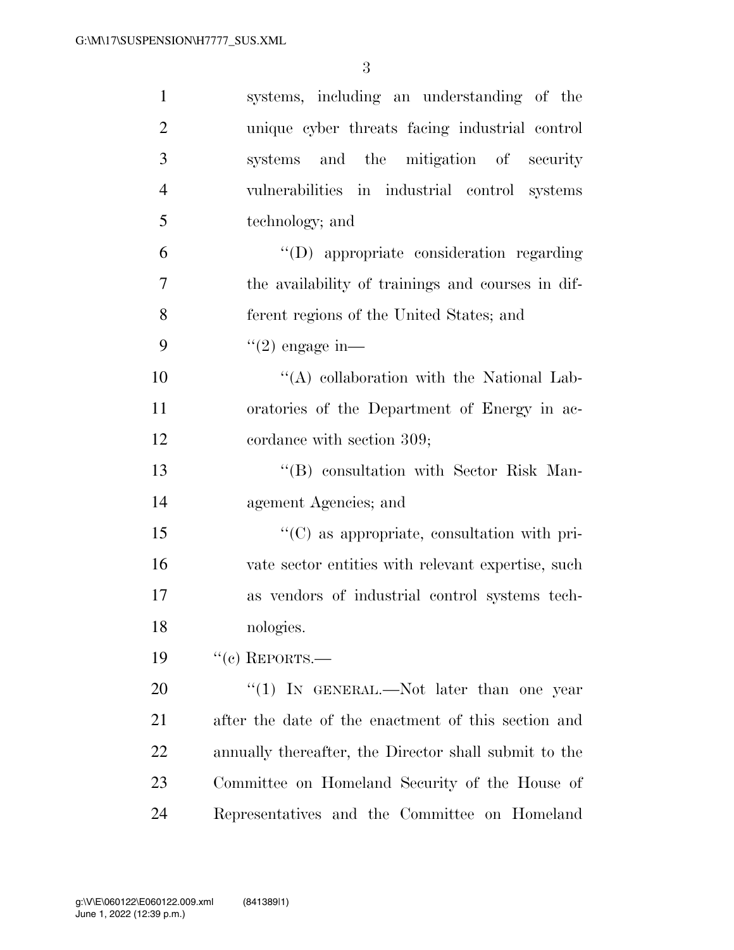| $\mathbf{1}$   | systems, including an understanding of the            |
|----------------|-------------------------------------------------------|
| $\overline{2}$ | unique cyber threats facing industrial control        |
| 3              | systems and the mitigation of security                |
| $\overline{4}$ | vulnerabilities in industrial control systems         |
| 5              | technology; and                                       |
| 6              | "(D) appropriate consideration regarding              |
| 7              | the availability of trainings and courses in dif-     |
| 8              | ferent regions of the United States; and              |
| 9              | $(2)$ engage in—                                      |
| 10             | "(A) collaboration with the National Lab-             |
| 11             | oratories of the Department of Energy in ac-          |
| 12             | cordance with section 309;                            |
| 13             | "(B) consultation with Sector Risk Man-               |
| 14             | agement Agencies; and                                 |
| 15             | "(C) as appropriate, consultation with pri-           |
| 16             | vate sector entities with relevant expertise, such    |
| 17             | as vendors of industrial control systems tech-        |
| 18             | nologies.                                             |
| 19             | $``(c)$ REPORTS.—                                     |
| 20             | "(1) IN GENERAL.—Not later than one year              |
| 21             | after the date of the enactment of this section and   |
| 22             | annually thereafter, the Director shall submit to the |
| 23             | Committee on Homeland Security of the House of        |
| 24             | Representatives and the Committee on Homeland         |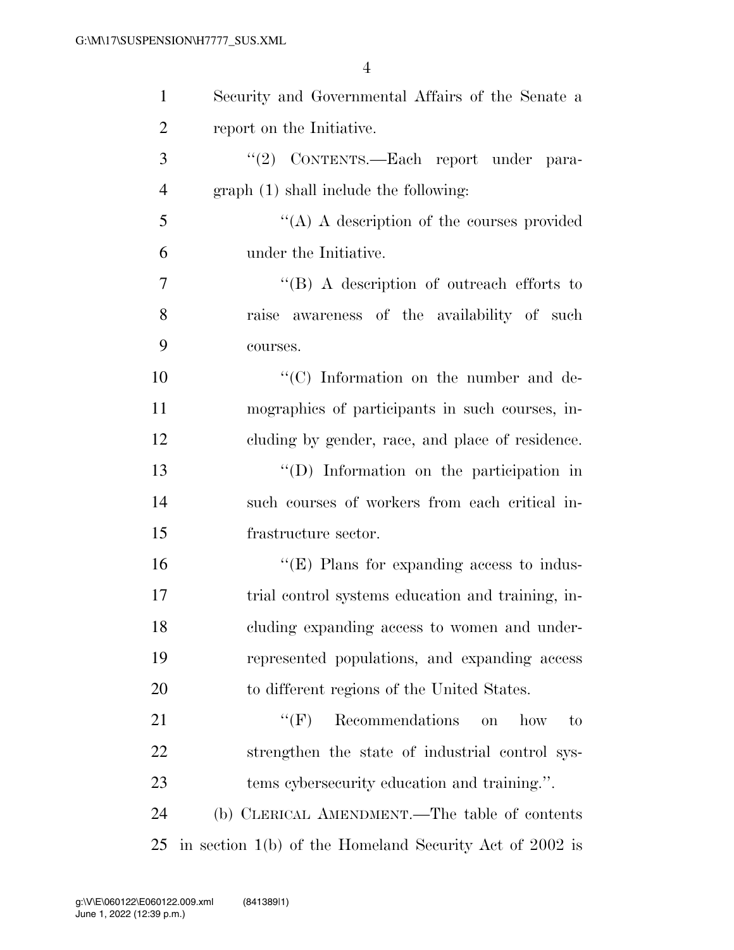| $\mathbf{1}$   | Security and Governmental Affairs of the Senate a         |
|----------------|-----------------------------------------------------------|
| $\overline{2}$ | report on the Initiative.                                 |
| 3              | "(2) CONTENTS.—Each report under para-                    |
| $\overline{4}$ | graph (1) shall include the following:                    |
| 5              | "(A) A description of the courses provided                |
| 6              | under the Initiative.                                     |
| 7              | $\lq\lq (B)$ A description of outreach efforts to         |
| 8              | raise awareness of the availability of such               |
| 9              | courses.                                                  |
| 10             | "(C) Information on the number and de-                    |
| 11             | mographics of participants in such courses, in-           |
| 12             | cluding by gender, race, and place of residence.          |
| 13             | "(D) Information on the participation in                  |
| 14             | such courses of workers from each critical in-            |
| 15             | frastructure sector.                                      |
| 16             | " $(E)$ Plans for expanding access to indus-              |
| 17             | trial control systems education and training, in-         |
| 18             | cluding expanding access to women and under-              |
| 19             | represented populations, and expanding access             |
| 20             | to different regions of the United States.                |
| 21             | $``$ (F)<br>Recommendations<br>how<br>$\rm{to}$<br>on     |
| 22             | strengthen the state of industrial control sys-           |
| 23             | tems cybersecurity education and training.".              |
| 24             | (b) CLERICAL AMENDMENT.—The table of contents             |
| 25             | in section $1(b)$ of the Homeland Security Act of 2002 is |